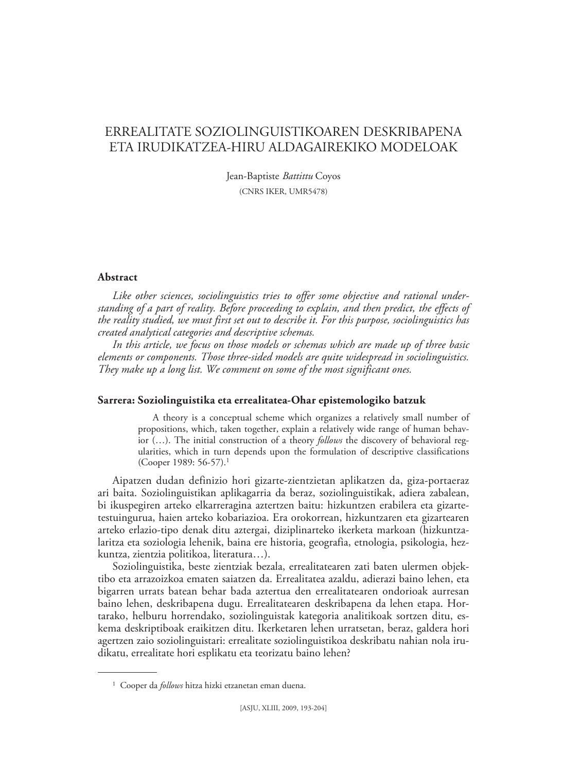# ERREALITATE SOZIOLINGUISTIKOAREN DESKRIBAPENA ETA IRUDIKATZEA-HIRU ALDAGAIREKIKO MODELOAK

Jean-Baptiste *Battittu* Coyos (CNRS IKER, UMR5478)

# **Abstract**

*Like other sciences, sociolinguistics tries to offer some objective and rational understanding of a part of reality. Before proceeding to explain, and then predict, the effects of the reality studied, we must first set out to describe it. For this purpose, sociolinguistics has created analytical categories and descriptive schemas.*

*In this article, we focus on those models or schemas which are made up of three basic elements or components. Those three-sided models are quite widespread in sociolinguistics. They make up a long list. We comment on some of the most significant ones.*

## **Sarrera: Soziolinguistika eta errealitatea-Ohar epistemologiko batzuk**

A theory is a conceptual scheme which organizes a relatively small number of propositions, which, taken together, explain a relatively wide range of human behavior (…). The initial construction of a theory *follows* the discovery of behavioral regularities, which in turn depends upon the formulation of descriptive classifications (Cooper 1989: 56-57).1

Aipatzen dudan definizio hori gizarte-zientzietan aplikatzen da, giza-portaeraz ari baita. Soziolinguistikan aplikagarria da beraz, soziolinguistikak, adiera zabalean, bi ikuspegiren arteko elkarreragina aztertzen baitu: hizkuntzen erabilera eta gizartetestuingurua, haien arteko kobariazioa. Era orokorrean, hizkuntzaren eta gizartearen arteko erlazio-tipo denak ditu aztergai, diziplinarteko ikerketa markoan (hizkuntzalaritza eta soziologia lehenik, baina ere historia, geografia, etnologia, psikologia, hezkuntza, zientzia politikoa, literatura…).

Soziolinguistika, beste zientziak bezala, errealitatearen zati baten ulermen objektibo eta arrazoizkoa ematen saiatzen da. Errealitatea azaldu, adierazi baino lehen, eta bigarren urrats batean behar bada aztertua den errealitatearen ondorioak aurresan baino lehen, deskribapena dugu. Errealitatearen deskribapena da lehen etapa. Hortarako, helburu horrendako, soziolinguistak kategoria analitikoak sortzen ditu, eskema deskriptiboak eraikitzen ditu. Ikerketaren lehen urratsetan, beraz, galdera hori agertzen zaio soziolinguistari: errealitate soziolinguistikoa deskribatu nahian nola irudikatu, errealitate hori esplikatu eta teorizatu baino lehen?

<sup>1</sup> Cooper da *follows* hitza hizki etzanetan eman duena.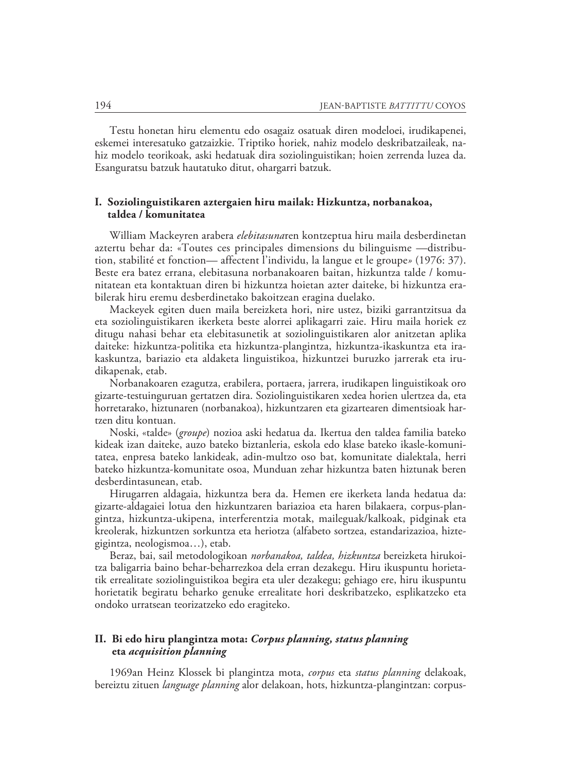Testu honetan hiru elementu edo osagaiz osatuak diren modeloei, irudikapenei, eskemei interesatuko gatzaizkie. Triptiko horiek, nahiz modelo deskribatzaileak, nahiz modelo teorikoak, aski hedatuak dira soziolinguistikan; hoien zerrenda luzea da. Esanguratsu batzuk hautatuko ditut, ohargarri batzuk.

# **I. Soziolinguistikaren aztergaien hiru mailak: Hizkuntza, norbanakoa, taldea / komunitatea**

William Mackeyren arabera *elebitasuna*ren kontzeptua hiru maila desberdinetan aztertu behar da: «Toutes ces principales dimensions du bilinguisme —distribution, stabilité et fonction— affectent l'individu, la langue et le groupe*»* (1976: 37). Beste era batez errana, elebitasuna norbanakoaren baitan, hizkuntza talde / komunitatean eta kontaktuan diren bi hizkuntza hoietan azter daiteke, bi hizkuntza erabilerak hiru eremu desberdinetako bakoitzean eragina duelako.

Mackeyek egiten duen maila bereizketa hori, nire ustez, biziki garrantzitsua da eta soziolinguistikaren ikerketa beste alorrei aplikagarri zaie. Hiru maila horiek ez ditugu nahasi behar eta elebitasunetik at soziolinguistikaren alor anitzetan aplika daiteke: hizkuntza-politika eta hizkuntza-plangintza, hizkuntza-ikaskuntza eta irakaskuntza, bariazio eta aldaketa linguistikoa, hizkuntzei buruzko jarrerak eta irudikapenak, etab.

Norbanakoaren ezagutza, erabilera, portaera, jarrera, irudikapen linguistikoak oro gizarte-testuinguruan gertatzen dira. Soziolinguistikaren xedea horien ulertzea da, eta horretarako, hiztunaren (norbanakoa), hizkuntzaren eta gizartearen dimentsioak hartzen ditu kontuan.

Noski, «talde» (*groupe*) nozioa aski hedatua da. Ikertua den taldea familia bateko kideak izan daiteke, auzo bateko biztanleria, eskola edo klase bateko ikasle-komunitatea, enpresa bateko lankideak, adin-multzo oso bat, komunitate dialektala, herri bateko hizkuntza-komunitate osoa, Munduan zehar hizkuntza baten hiztunak beren desberdintasunean, etab.

Hirugarren aldagaia, hizkuntza bera da. Hemen ere ikerketa landa hedatua da: gizarte-aldagaiei lotua den hizkuntzaren bariazioa eta haren bilakaera, corpus-plangintza, hizkuntza-ukipena, interferentzia motak, maileguak/kalkoak, pidginak eta kreolerak, hizkuntzen sorkuntza eta heriotza (alfabeto sortzea, estandarizazioa, hiztegigintza, neologismoa…), etab.

Beraz, bai, sail metodologikoan *norbanakoa, taldea, hizkuntza* bereizketa hirukoitza baligarria baino behar-beharrezkoa dela erran dezakegu. Hiru ikuspuntu horietatik errealitate soziolinguistikoa begira eta uler dezakegu; gehiago ere, hiru ikuspuntu horietatik begiratu beharko genuke errealitate hori deskribatzeko, esplikatzeko eta ondoko urratsean teorizatzeko edo eragiteko.

# **II. Bi edo hiru plangintza mota:** *Corpus planning, status planning*  **eta** *acquisition planning*

1969an Heinz Klossek bi plangintza mota, *corpus* eta *status planning* delakoak, bereiztu zituen *language planning* alor delakoan, hots, hizkuntza-plangintzan: corpus-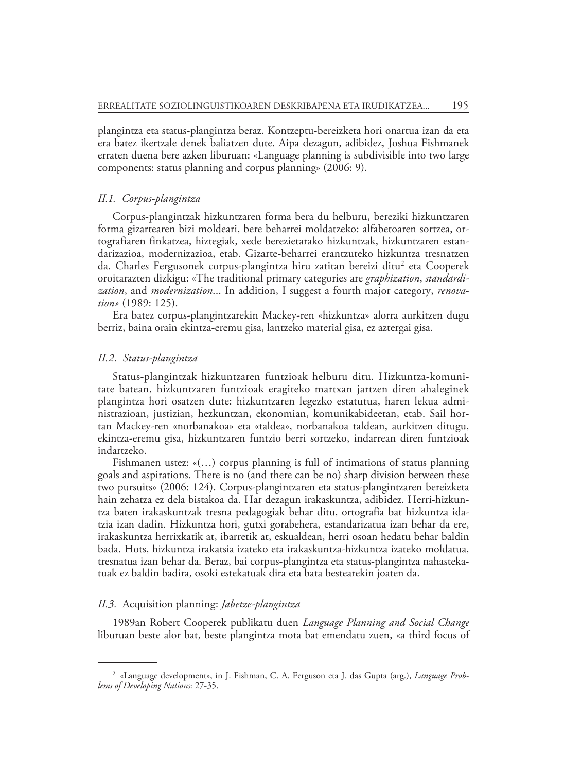plangintza eta status-plangintza beraz. Kontzeptu-bereizketa hori onartua izan da eta era batez ikertzale denek baliatzen dute. Aipa dezagun, adibidez, Joshua Fishma nek erraten duena bere azken liburuan: «Language planning is subdivisible into two large components: status planning and corpus planning» (2006: 9).

### *II.1. Corpus-plangintza*

Corpus-plangintzak hizkuntzaren forma bera du helburu, bereziki hizkuntzaren forma gizartearen bizi moldeari, bere beharrei moldatzeko: alfabetoaren sortzea, ortografiaren finkatzea, hiztegiak, xede berezietarako hizkuntzak, hizkuntzaren estandarizazioa, modernizazioa, etab. Gizarte-beharrei erantzuteko hizkuntza tresnatzen da. Charles Fergusonek corpus-plangintza hiru zatitan bereizi ditu<sup>2</sup> eta Cooperek oroitarazten dizkigu: «The traditional primary categories are *graphization*, *standardization*, and *modernization*... In addition, I suggest a fourth major category, *renovation»* (1989: 125).

Era batez corpus-plangintzarekin Mackey-ren «hizkuntza» alorra aurkitzen dugu berriz, baina orain ekintza-eremu gisa, lantzeko material gisa, ez aztergai gisa.

### *II.2. Status-plangintza*

Status-plangintzak hizkuntzaren funtzioak helburu ditu. Hizkuntza-komunitate batean, hizkuntzaren funtzioak eragiteko martxan jartzen diren ahaleginek plangintza hori osatzen dute: hizkuntzaren legezko estatutua, haren lekua administrazioan, justizian, hezkuntzan, ekonomian, komunikabideetan, etab. Sail hortan Mackey-ren «norbanakoa» eta «taldea», norbanakoa taldean, aurkitzen ditugu, ekintza-eremu gisa, hizkuntzaren funtzio berri sortzeko, indarrean diren funtzioak indartzeko.

Fishmanen ustez: «(…) corpus planning is full of intimations of status planning goals and aspirations. There is no (and there can be no) sharp division between these two pursuits» (2006: 124). Corpus-plangintzaren eta status-plangintzaren bereizketa hain zehatza ez dela bistakoa da. Har dezagun irakaskuntza, adibidez. Herri-hizkuntza baten irakaskuntzak tresna pedagogiak behar ditu, ortografia bat hizkuntza idatzia izan dadin. Hizkuntza hori, gutxi gorabehera, estandarizatua izan behar da ere, irakaskuntza herrixkatik at, ibarretik at, eskualdean, herri osoan hedatu behar baldin bada. Hots, hizkuntza irakatsia izateko eta irakaskuntza-hizkuntza izateko moldatua, tresnatua izan behar da. Beraz, bai corpus-plangintza eta status-plangintza nahastekatuak ez baldin badira, osoki estekatuak dira eta bata bestearekin joaten da.

#### *II.3.* Acquisition planning: *Jabetze-plangintza*

1989an Robert Cooperek publikatu duen *Language Planning and Social Change*  liburuan beste alor bat, beste plangintza mota bat emendatu zuen, «a third focus of

<sup>2 «</sup>Language development», in J. Fishman, C. A. Ferguson eta J. das Gupta (arg.), *Language Problems of Developing Nations*: 27-35.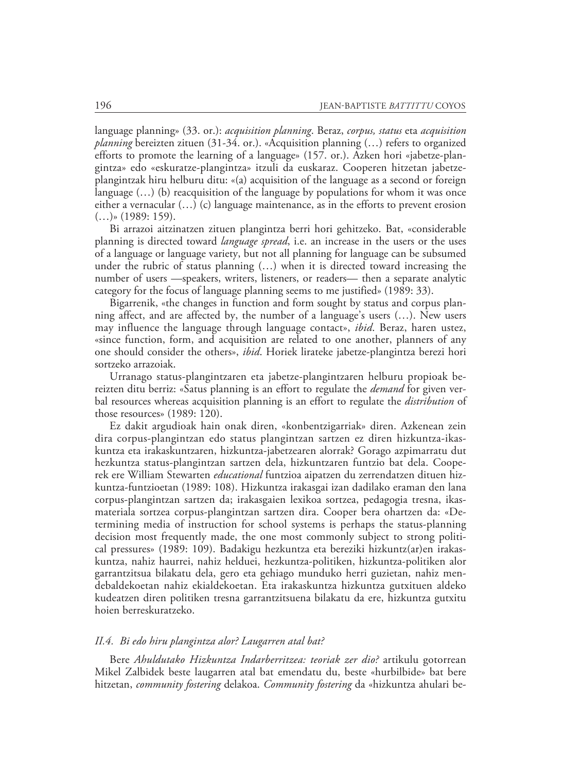language planning» (33. or.): *acquisition planning*. Beraz, *corpus, status* eta *acquisition planning* bereizten zituen (31-34. or.). «Acquisition planning (…) refers to organized efforts to promote the learning of a language» (157. or.). Azken hori «jabetze-plangintza» edo «eskuratze-plangintza» itzuli da euskaraz. Cooperen hitzetan jabetzeplangintzak hiru helburu ditu: «(a) acquisition of the language as a second or foreign language (…) (b) reacquisition of the language by populations for whom it was once either a vernacular (…) (c) language maintenance, as in the efforts to prevent erosion  $(...)$ » (1989: 159).

Bi arrazoi aitzinatzen zituen plangintza berri hori gehitzeko. Bat, «considerable planning is directed toward *language spread*, i.e. an increase in the users or the uses of a language or language variety, but not all planning for language can be subsumed under the rubric of status planning (…) when it is directed toward increasing the number of users —speakers, writers, listeners, or readers— then a separate analytic category for the focus of language planning seems to me justified» (1989: 33).

Bigarrenik, «the changes in function and form sought by status and corpus planning affect, and are affected by, the number of a language's users (…). New users may influence the language through language contact», *ibid*. Beraz, haren ustez, «since function, form, and acquisition are related to one another, planners of any one should consider the others», *ibid*. Horiek lirateke jabetze-plangintza berezi hori sortzeko arrazoiak.

Urranago status-plangintzaren eta jabetze-plangintzaren helburu propioak bereizten ditu berriz: «Satus planning is an effort to regulate the *demand* for given verbal resources whereas acquisition planning is an effort to regulate the *distribution* of those resources» (1989: 120).

Ez dakit argudioak hain onak diren, «konbentzigarriak» diren. Azkenean zein dira corpus-plangintzan edo status plangintzan sartzen ez diren hizkuntza-ikaskuntza eta irakaskuntzaren, hizkuntza-jabetzearen alorrak? Gorago azpimarratu dut hezkuntza status-plangintzan sartzen dela, hizkuntzaren funtzio bat dela. Cooperek ere William Stewarten *educational* funtzioa aipatzen du zerrendatzen dituen hizkuntza-funtzioetan (1989: 108). Hizkuntza irakasgai izan dadilako eraman den lana corpus-plangintzan sartzen da; irakasgaien lexikoa sortzea, pedagogia tresna, ikasmateriala sortzea corpus-plangintzan sartzen dira. Cooper bera ohartzen da: «Determining media of instruction for school systems is perhaps the status-planning decision most frequently made, the one most commonly subject to strong political pressures» (1989: 109). Badakigu hezkuntza eta bereziki hizkuntz(ar)en irakaskuntza, nahiz haurrei, nahiz helduei, hezkuntza-politiken, hizkuntza-politiken alor garrantzitsua bilakatu dela, gero eta gehiago munduko herri guzietan, nahiz mendebaldekoetan nahiz ekialdekoetan. Eta irakaskuntza hizkuntza gutxituen aldeko kudeatzen diren politiken tresna garrantzitsuena bilakatu da ere, hizkuntza gutxitu hoien berreskuratzeko.

#### *II.4. Bi edo hiru plangintza alor? Laugarren atal bat?*

Bere *Ahuldutako Hizkuntza Indarberritzea: teoriak zer dio?* artikulu gotorrean Mikel Zalbidek beste laugarren atal bat emendatu du, beste «hurbilbide» bat bere hitzetan, *community fostering* delakoa. *Community fostering* da «hizkuntza ahulari be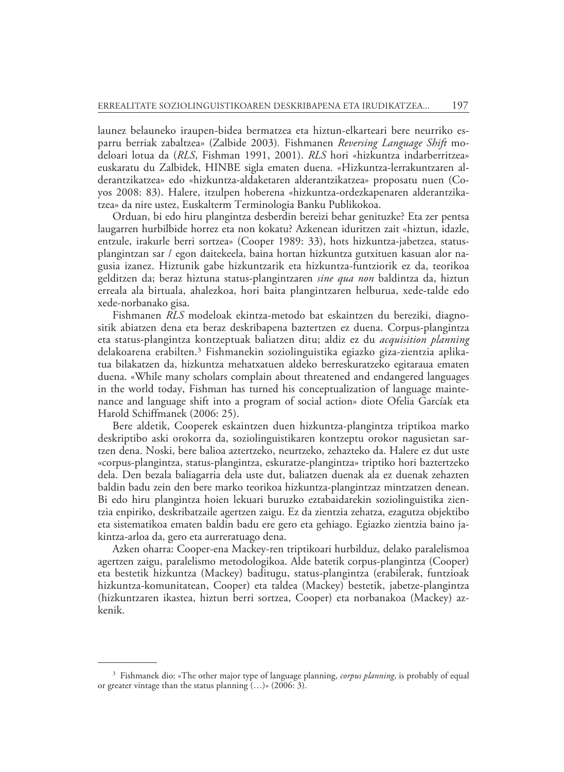launez belauneko iraupen-bidea bermatzea eta hiztun-elkarteari bere neurriko esparru berriak zabaltzea» (Zalbide 2003)*.* Fishmanen *Reversing Language Shift* modeloari lotua da (*RLS*, Fishman 1991, 2001). *RLS* hori «hizkuntza indarberritzea» euskaratu du Zalbidek, HINBE sigla ematen duena. «Hizkuntza-lerrakuntzaren alderantzikatzea» edo «hizkuntza-aldaketaren alderantzikatzea» proposatu nuen (Coyos 2008: 83). Halere, itzulpen hoberena «hizkuntza-ordezkapenaren alderantzikatzea» da nire ustez, Euskalterm Terminologia Banku Publikokoa.

Orduan, bi edo hiru plangintza desberdin bereizi behar genituzke? Eta zer pentsa laugarren hurbilbide horrez eta non kokatu? Azkenean iduritzen zait «hiztun, idazle, entzule, irakurle berri sortzea» (Cooper 1989: 33), hots hizkuntza-jabetzea, statusplangintzan sar / egon daitekeela, baina hortan hizkuntza gutxituen kasuan alor nagusia izanez. Hiztunik gabe hizkuntzarik eta hizkuntza-funtziorik ez da, teorikoa gelditzen da; beraz hiztuna status-plangintzaren *sine qua non* baldintza da, hiztun erreala ala birtuala, ahalezkoa, hori baita plangintzaren helburua, xede-talde edo xede-norbanako gisa.

Fishmanen *RLS* modeloak ekintza-metodo bat eskaintzen du bereziki, diagnositik abiatzen dena eta beraz deskribapena baztertzen ez duena. Corpus-plangintza eta status-plangintza kontzeptuak baliatzen ditu; aldiz ez du *acquisition planning*  delakoarena erabilten.3 Fishmanekin soziolinguistika egiazko giza-zientzia aplikatua bilakatzen da, hizkuntza mehatxatuen aldeko berreskuratzeko egitaraua ematen duena. «While many scholars complain about threatened and endangered languages in the world today, Fishman has turned his conceptualization of language maintenance and language shift into a program of social action» diote Ofelia Garcíak eta Harold Schiffmanek (2006: 25).

Bere aldetik, Cooperek eskaintzen duen hizkuntza-plangintza triptikoa marko deskriptibo aski orokorra da, soziolinguistikaren kontzeptu orokor nagusietan sartzen dena. Noski, bere balioa aztertzeko, neurtzeko, zehazteko da. Halere ez dut uste «corpus-plangintza, status-plangintza, eskuratze-plangintza» triptiko hori baztertzeko dela. Den bezala baliagarria dela uste dut, baliatzen duenak ala ez duenak zehazten baldin badu zein den bere marko teorikoa hizkuntza-plangintzaz mintzatzen denean. Bi edo hiru plangintza hoien lekuari buruzko eztabaidarekin soziolinguistika zientzia enpiriko, deskribatzaile agertzen zaigu. Ez da zientzia zehatza, ezagutza objektibo eta sistematikoa ematen baldin badu ere gero eta gehiago. Egiazko zientzia baino jakintza-arloa da, gero eta aurreratuago dena.

Azken oharra: Cooper-ena Mackey-ren triptikoari hurbilduz, delako paralelismoa agertzen zaigu, paralelismo metodologikoa. Alde batetik corpus-plangintza (Cooper) eta bestetik hizkuntza (Mackey) baditugu, status-plangintza (erabilerak, funtzioak hizkuntza-komunitatean, Cooper) eta taldea (Mackey) bestetik, jabetze-plangintza (hizkuntzaren ikastea, hiztun berri sortzea, Cooper) eta norbanakoa (Mackey) azkenik.

<sup>3</sup> Fishmanek dio: «The other major type of language planning, *corpus planning*, is probably of equal or greater vintage than the status planning (…)» (2006: 3).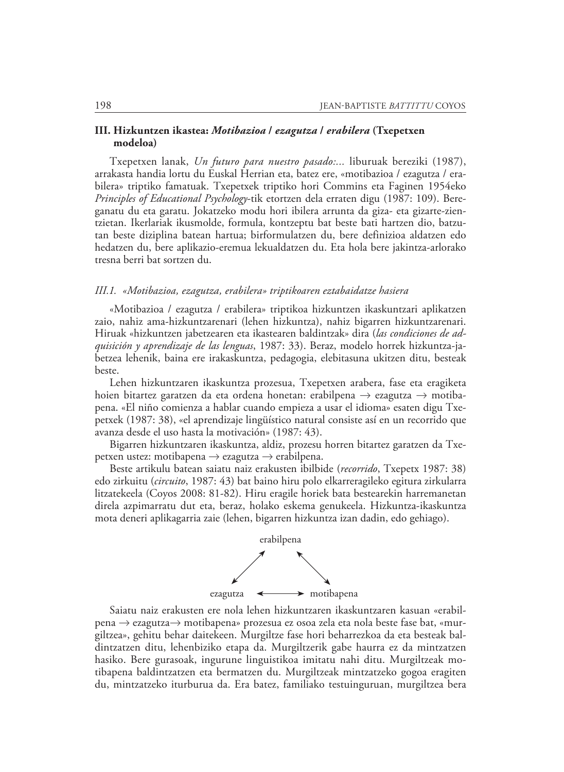# **III. Hizkuntzen ikastea:** *Motibazioa* **/** *ezagutza* **/** *erabilera* **(Txepetxen modeloa)**

Txepetxen lanak, *Un futuro para nuestro pasado:...* liburuak bereziki (1987), arrakasta handia lortu du Euskal Herrian eta, batez ere, «motibazioa / ezagutza / erabilera» triptiko famatuak. Txepetxek triptiko hori Commins eta Faginen 1954eko *Principles of Educational Psychology*-tik etortzen dela erraten digu (1987: 109). Bereganatu du eta garatu. Jokatzeko modu hori ibilera arrunta da giza- eta gizarte-zientzietan. Ikerlariak ikusmolde, formula, kontzeptu bat beste bati hartzen dio, batzutan beste diziplina batean hartua; birformulatzen du, bere definizioa aldatzen edo hedatzen du, bere aplikazio-eremua lekualdatzen du. Eta hola bere jakintza-arlorako tresna berri bat sortzen du.

#### *III.1. «Motibazioa, ezagutza, erabilera» triptikoaren eztabaidatze hasiera*

«Motibazioa / ezagutza / erabilera» triptikoa hizkuntzen ikaskuntzari aplikatzen zaio, nahiz ama-hizkuntzarenari (lehen hizkuntza), nahiz bigarren hizkuntzarenari. Hiruak «hizkuntzen jabetzearen eta ikastearen baldintzak» dira (*las condiciones de adquisición y aprendizaje de las lenguas*, 1987: 33). Beraz, modelo horrek hizkuntza-jabetzea lehenik, baina ere irakaskuntza, pedagogia, elebitasuna ukitzen ditu, besteak beste.

Lehen hizkuntzaren ikaskuntza prozesua, Txepetxen arabera, fase eta eragiketa hoien bitartez garatzen da eta ordena honetan: erabilpena  $\rightarrow$  ezagutza  $\rightarrow$  motibapena. «El niño comienza a hablar cuando empieza a usar el idioma» esaten digu Txepetxek (1987: 38), «el aprendizaje lingüístico natural consiste así en un recorrido que avanza desde el uso hasta la motivación» (1987: 43).

Bigarren hizkuntzaren ikaskuntza, aldiz, prozesu horren bitartez garatzen da Txepetxen ustez: motibapena  $\rightarrow$  ezagutza  $\rightarrow$  erabilpena.

Beste artikulu batean saiatu naiz erakusten ibilbide (*recorrido*, Txepetx 1987: 38) edo zirkuitu (*circuito*, 1987: 43) bat baino hiru polo elkarreragileko egitura zirkularra litzatekeela (Coyos 2008: 81-82). Hiru eragile horiek bata bestearekin harremanetan direla azpimarratu dut eta, beraz, holako eskema genukeela. Hizkuntza-ikaskuntza mota deneri aplikagarria zaie (lehen, bigarren hizkuntza izan dadin, edo gehiago).



Saiatu naiz erakusten ere nola lehen hizkuntzaren ikaskuntzaren kasuan «erabilpena → ezagutza→ motibapena» prozesua ez osoa zela eta nola beste fase bat, «murgiltzea», gehitu behar daitekeen. Murgiltze fase hori beharrezkoa da eta besteak baldintzatzen ditu, lehenbiziko etapa da. Murgiltzerik gabe haurra ez da mintzatzen hasiko. Bere gurasoak, ingurune linguistikoa imitatu nahi ditu. Murgiltzeak motibapena baldintzatzen eta bermatzen du. Murgiltzeak mintzatzeko gogoa eragiten du, mintzatzeko iturburua da. Era batez, familiako testuinguruan, murgiltzea bera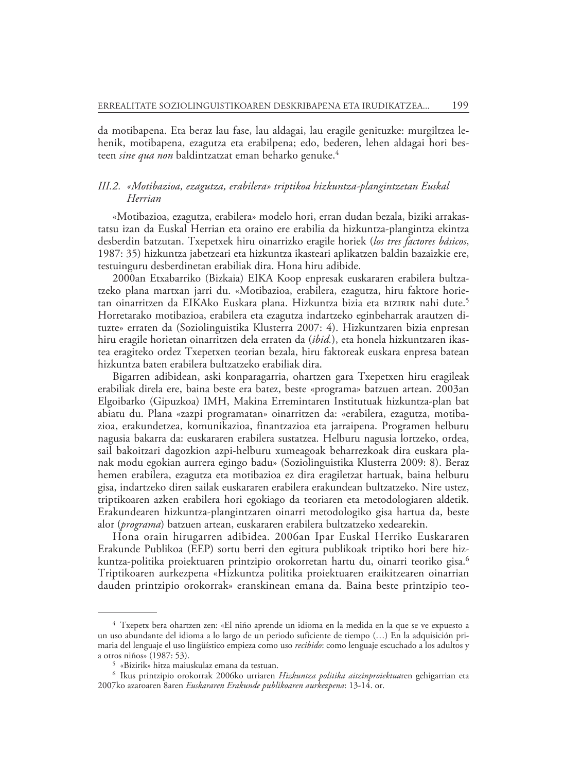da motibapena. Eta beraz lau fase, lau aldagai, lau eragile genituzke: murgiltzea lehenik, motibapena, ezagutza eta erabilpena; edo, bederen, lehen aldagai hori besteen *sine qua non* baldintzatzat eman beharko genuke.4

# *III.2. «Motibazioa, ezagutza, erabilera» triptikoa hizkuntza-plangintzetan Euskal Herrian*

«Motibazioa, ezagutza, erabilera» modelo hori, erran dudan bezala, biziki arrakastatsu izan da Euskal Herrian eta oraino ere erabilia da hizkuntza-plangintza ekintza desberdin batzutan. Txepetxek hiru oinarrizko eragile horiek (*los tres factores básicos*, 1987: 35) hizkuntza jabetzeari eta hizkuntza ikasteari aplikatzen baldin bazaizkie ere, testuinguru desberdinetan erabiliak dira. Hona hiru adibide.

2000an Etxabarriko (Bizkaia) EIKA Koop enpresak euskararen erabilera bultzatzeko plana martxan jarri du. «Motibazioa, erabilera, ezagutza, hiru faktore horietan oinarritzen da EIKAko Euskara plana. Hizkuntza bizia eta bizirik nahi dute.<sup>5</sup> Horretarako motibazioa, erabilera eta ezagutza indartzeko eginbeharrak arautzen dituzte» erraten da (Soziolinguistika Klusterra 2007: 4). Hizkuntzaren bizia enpresan hiru eragile horietan oinarritzen dela erraten da (*ibid.*), eta honela hizkuntzaren ikastea eragiteko ordez Txepetxen teorian bezala, hiru faktoreak euskara enpresa batean hizkuntza baten erabilera bultzatzeko erabiliak dira.

Bigarren adibidean, aski konparagarria, ohartzen gara Txepetxen hiru eragileak erabiliak direla ere, baina beste era batez, beste «programa» batzuen artean. 2003an Elgoibarko (Gipuzkoa) IMH, Makina Erremintaren Institutuak hizkuntza-plan bat abiatu du. Plana «zazpi programatan» oinarritzen da: «erabilera, ezagutza, motibazioa, erakundetzea, komunikazioa, finantzazioa eta jarraipena. Programen helburu nagusia bakarra da: euskararen erabilera sustatzea. Helburu nagusia lortzeko, ordea, sail bakoitzari dagozkion azpi-helburu xumeagoak beharrezkoak dira euskara planak modu egokian aurrera egingo badu» (Soziolinguistika Klusterra 2009: 8). Beraz hemen erabilera, ezagutza eta motibazioa ez dira eragiletzat hartuak, baina helburu gisa, indartzeko diren sailak euskararen erabilera erakundean bultzatzeko. Nire ustez, triptikoaren azken erabilera hori egokiago da teoriaren eta metodologiaren aldetik. Erakundearen hizkuntza-plangintzaren oinarri metodologiko gisa hartua da, beste alor (*programa*) batzuen artean, euskararen erabilera bultzatzeko xedearekin.

Hona orain hirugarren adibidea. 2006an Ipar Euskal Herriko Euskararen Erakunde Publikoa (EEP) sortu berri den egitura publikoak triptiko hori bere hizkuntza-politika proiektuaren printzipio orokorretan hartu du, oinarri teoriko gisa.<sup>6</sup> Triptikoaren aurkezpena «Hizkuntza politika proiektuaren eraikitzearen oinarrian dauden printzipio orokorrak» eranskinean emana da. Baina beste printzipio teo-

<sup>4</sup> Txepetx bera ohartzen zen: «El niño aprende un idioma en la medida en la que se ve expuesto a un uso abundante del idioma a lo largo de un periodo suficiente de tiempo (…) En la adquisición primaria del lenguaje el uso lingüístico empieza como uso *recibido*: como lenguaje escuchado a los adultos y a otros niños» (1987: 53).

<sup>5 «</sup>Bizirik» hitza maiuskulaz emana da testuan.

<sup>6</sup> Ikus printzipio orokorrak 2006ko urriaren *Hizkuntza politika aitzinproiektua*ren gehigarrian eta 2007ko azaroaren 8aren *Euskararen Erakunde publikoaren aurkezpena*: 13-14. or.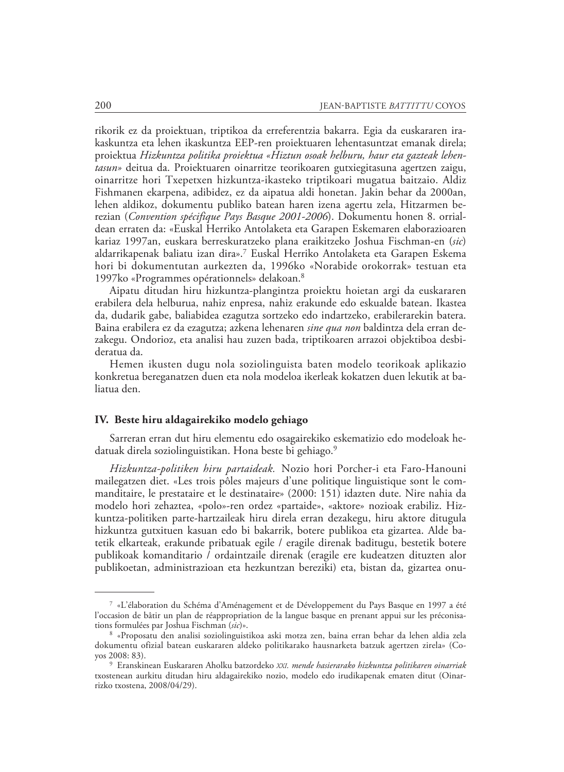rikorik ez da proiektuan, triptikoa da erreferentzia bakarra. Egia da euskararen irakaskuntza eta lehen ikaskuntza EEP-ren proiektuaren lehentasuntzat emanak direla; proiektua *Hizkuntza politika proiektua «Hiztun osoak helburu, haur eta gazteak lehentasun»* deitua da. Proiektuaren oinarritze teorikoaren gutxiegitasuna agertzen zaigu, oinarritze hori Txepetxen hizkuntza-ikasteko triptikoari mugatua baitzaio. Aldiz Fishma nen ekarpena, adibidez, ez da aipatua aldi honetan. Jakin behar da 2000an, lehen aldikoz, dokumentu publiko batean haren izena agertu zela, Hitzarmen berezian (*Convention spécifique Pays Basque 2001-2006*). Dokumentu honen 8. orrialdean erraten da: «Euskal Herriko Antolaketa eta Garapen Eskemaren elaborazioaren kariaz 1997an, euskara berreskuratzeko plana eraikitzeko Joshua Fischman-en (*sic*) aldarrikapenak baliatu izan dira».7 Euskal Herriko Antolaketa eta Garapen Eskema hori bi dokumentutan aurkezten da, 1996ko «Norabide orokorrak» testuan eta 1997ko «Programmes opérationnels» delakoan.8

Aipatu ditudan hiru hizkuntza-plangintza proiektu hoietan argi da euskararen erabilera dela helburua, nahiz enpresa, nahiz erakunde edo eskualde batean. Ikastea da, dudarik gabe, baliabidea ezagutza sortzeko edo indartzeko, erabilerarekin batera. Baina erabilera ez da ezagutza; azkena lehenaren *sine qua non* baldintza dela erran dezakegu. Ondorioz, eta analisi hau zuzen bada, triptikoaren arrazoi objektiboa desbideratua da.

Hemen ikusten dugu nola soziolinguista baten modelo teorikoak aplikazio konkretua bereganatzen duen eta nola modeloa ikerleak kokatzen duen lekutik at baliatua den.

### **IV. Beste hiru aldagairekiko modelo gehiago**

Sarreran erran dut hiru elementu edo osagairekiko eskematizio edo modeloak hedatuak direla soziolinguistikan. Hona beste bi gehiago.9

*Hizkuntza-politiken hiru partaideak.* Nozio hori Porcher-i eta Faro-Hanouni mailegatzen diet. «Les trois pôles majeurs d'une politique linguistique sont le commanditaire, le prestataire et le destinataire» (2000: 151) idazten dute. Nire nahia da modelo hori zehaztea, «polo»-ren ordez «partaide», «aktore» nozioak erabiliz. Hizkun tza-politiken parte-hartzaileak hiru direla erran dezakegu, hiru aktore ditugula hizkuntza gutxituen kasuan edo bi bakarrik, botere publikoa eta gizartea. Alde batetik elkarteak, erakunde pribatuak egile / eragile direnak baditugu, bestetik botere publikoak komanditario / ordaintzaile direnak (eragile ere kudeatzen dituzten alor publikoetan, administrazioan eta hezkuntzan bereziki) eta, bistan da, gizartea onu-

<sup>7 «</sup>L'élaboration du Schéma d'Aménagement et de Développement du Pays Basque en 1997 a été l'occasion de bâtir un plan de réappropriation de la langue basque en prenant appui sur les préconisations formulées par Joshua Fischman (*sic*)».

<sup>8 «</sup>Proposatu den analisi soziolinguistikoa aski motza zen, baina erran behar da lehen aldia zela dokumentu ofizial batean euskararen aldeko politikarako hausnarketa batzuk agertzen zirela» (Coyos 2008: 83).

<sup>9</sup> Eranskinean Euskararen Aholku batzordeko *XXI. mende hasierarako hizkuntza politikaren oinarriak*  txostenean aurkitu ditudan hiru aldagairekiko nozio, modelo edo irudikapenak ematen ditut (Oinarrizko txostena, 2008/04/29).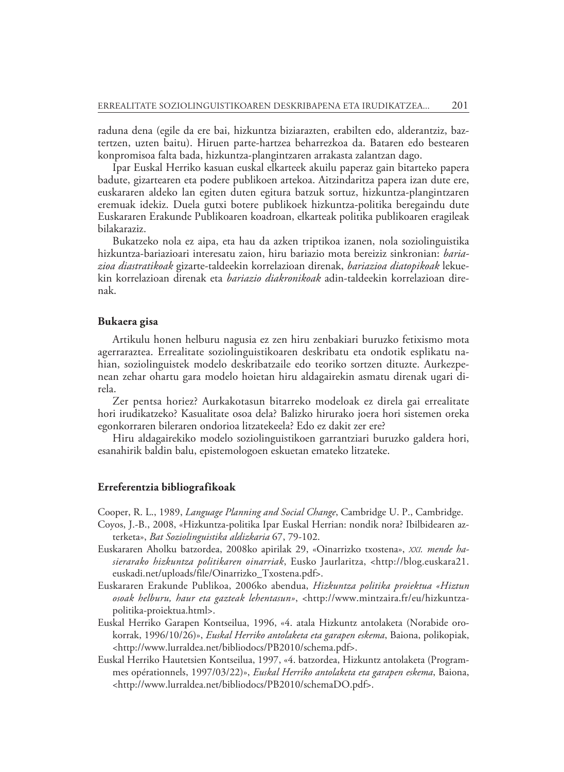raduna dena (egile da ere bai, hizkuntza biziarazten, erabilten edo, alderantziz, baztertzen, uzten baitu). Hiruen parte-hartzea beharrezkoa da. Bataren edo bestearen konpromisoa falta bada, hizkuntza-plangintzaren arrakasta zalantzan dago.

Ipar Euskal Herriko kasuan euskal elkarteek akuilu paperaz gain bitarteko papera badute, gizartearen eta podere publikoen artekoa. Aitzindaritza papera izan dute ere, euskararen aldeko lan egiten duten egitura batzuk sortuz, hizkuntza-plangintzaren eremuak idekiz. Duela gutxi botere publikoek hizkuntza-politika beregaindu dute Euskararen Erakunde Publikoaren koadroan, elkarteak politika publikoaren eragileak bilakaraziz.

Bukatzeko nola ez aipa, eta hau da azken triptikoa izanen, nola soziolinguistika hizkuntza-bariazioari interesatu zaion, hiru bariazio mota bereiziz sinkronian: *bariazioa diastratikoak* gizarte-taldeekin korrelazioan direnak, *bariazioa diatopikoak* lekuekin korrelazioan direnak eta *bariazio diakronikoak* adin-taldeekin korrelazioan direnak.

### **Bukaera gisa**

Artikulu honen helburu nagusia ez zen hiru zenbakiari buruzko fetixismo mota agerraraztea. Errealitate soziolinguistikoaren deskribatu eta ondotik esplikatu nahian, soziolinguistek modelo deskribatzaile edo teoriko sortzen dituzte. Aurkezpenean zehar ohartu gara modelo hoietan hiru aldagairekin asmatu direnak ugari direla.

Zer pentsa horiez? Aurkakotasun bitarreko modeloak ez direla gai errealitate hori irudikatzeko? Kasualitate osoa dela? Balizko hirurako joera hori sistemen oreka egonkorraren bileraren ondorioa litzatekeela? Edo ez dakit zer ere?

Hiru aldagairekiko modelo soziolinguistikoen garrantziari buruzko galdera hori, esanahirik baldin balu, epistemologoen eskuetan emateko litzateke.

#### **Erreferentzia bibliografikoak**

Cooper, R. L., 1989, *Language Planning and Social Change*, Cambridge U. P., Cambridge.

- Coyos, J.-B., 2008, «Hizkuntza-politika Ipar Euskal Herrian: nondik nora? Ibilbidearen azterketa», *Bat Soziolinguistika aldizkaria* 67, 79-102.
- Euskararen Aholku batzordea, 2008ko apirilak 29, «Oinarrizko txostena», *XXI. mende hasierarako hizkuntza politikaren oinarriak*, Eusko Jaurlaritza, <http://blog.euskara21. euskadi.net/uploads/file/Oinarrizko\_Txostena.pdf>.
- Euskararen Erakunde Publikoa, 2006ko abendua, *Hizkuntza politika proiektua «Hiztun osoak helburu, haur eta gazteak lehentasun»*, <http://www.mintzaira.fr/eu/hizkuntzapolitika-proiektua.html>.
- Euskal Herriko Garapen Kontseilua, 1996, «4. atala Hizkuntz antolaketa (Norabide orokorrak, 1996/10/26)», *Euskal Herriko antolaketa eta garapen eskema*, Baiona, polikopiak, <http://www.lurraldea.net/bibliodocs/PB2010/schema.pdf>.
- Euskal Herriko Hautetsien Kontseilua, 1997, «4. batzordea, Hizkuntz antolaketa (Programmes opérationnels, 1997/03/22)», *Euskal Herriko antolaketa eta garapen eskema*, Baiona, <http://www.lurraldea.net/bibliodocs/PB2010/schemaDO.pdf>.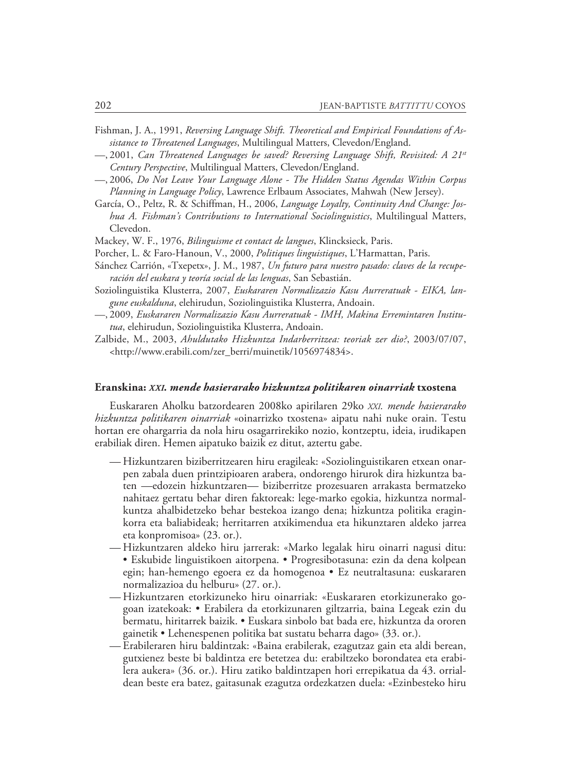- Fishman, J. A., 1991, *Reversing Language Shift. Theoretical and Empirical Foundations of Assistance to Threatened Languages*, Multilingual Matters, Clevedon/England.
- —, 2001, *Can Threatened Languages be saved? Reversing Language Shift, Revisited: A 21st Century Perspective*, Multilingual Matters, Clevedon/England.
- —, 2006, *Do Not Leave Your Language Alone The Hidden Status Agendas Within Corpus Planning in Language Policy*, Lawrence Erlbaum Associates, Mahwah (New Jersey).
- García, O., Peltz, R. & Schiffman, H., 2006, *Language Loyalty, Continuity And Change: Joshua A. Fishman's Contributions to International Sociolinguistics*, Multilingual Matters, Clevedon.
- Mackey, W. F., 1976, *Bilinguisme et contact de langues*, Klincksieck, Paris.
- Porcher, L. & Faro-Hanoun, V., 2000, *Politiques linguistiques*, L'Harmattan, Paris.
- Sánchez Carrión, «Txepetx», J. M., 1987, *Un futuro para nuestro pasado: claves de la recuperación del euskara y teoría social de las lenguas*, San Sebastián.
- Soziolinguistika Klusterra, 2007, *Euskararen Normalizazio Kasu Aurreratuak EIKA, langune euskalduna*, elehirudun, Soziolinguistika Klusterra, Andoain.
- —, 2009, *Euskararen Normalizazio Kasu Aurreratuak IMH, Makina Erremintaren Institutua*, elehirudun, Soziolinguistika Klusterra, Andoain.
- Zalbide, M., 2003, *Ahuldutako Hizkuntza Indarberritzea: teoriak zer dio?*, 2003/07/07, <http://www.erabili.com/zer\_berri/muinetik/1056974834>.

### **Eranskina:** *XXI. mende hasierarako hizkuntza politikaren oinarriak* **txostena**

Euskararen Aholku batzordearen 2008ko apirilaren 29ko *XXI. mende hasierarako hizkuntza politikaren oinarriak* «oinarrizko txostena» aipatu nahi nuke orain. Testu hortan ere ohargarria da nola hiru osagarrirekiko nozio, kontzeptu, ideia, irudikapen erabiliak diren. Hemen aipatuko baizik ez ditut, aztertu gabe.

- Hizkuntzaren biziberritzearen hiru eragileak: «Soziolinguistikaren etxean onarpen zabala duen printzipioaren arabera, ondorengo hirurok dira hizkuntza baten —edozein hizkuntzaren— biziberritze prozesuaren arrakasta bermatzeko nahitaez gertatu behar diren faktoreak: lege-marko egokia, hizkuntza normalkuntza ahalbidetzeko behar bestekoa izango dena; hizkuntza politika eraginkorra eta baliabideak; herritarren atxikimendua eta hikunztaren aldeko jarrea eta konpromisoa» (23. or.).
- Hizkuntzaren aldeko hiru jarrerak: «Marko legalak hiru oinarri nagusi ditu: • Eskubide linguistikoen aitorpena. • Progresibotasuna: ezin da dena kolpean egin; han-hemengo egoera ez da homogenoa • Ez neutraltasuna: euskararen normalizazioa du helburu» (27. or.).
- Hizkuntzaren etorkizuneko hiru oinarriak: «Euskararen etorkizunerako gogoan izatekoak: • Erabilera da etorkizunaren giltzarria, baina Legeak ezin du bermatu, hiritarrek baizik. • Euskara sinbolo bat bada ere, hizkuntza da ororen gainetik • Lehenespenen politika bat sustatu beharra dago» (33. or.).
- Erabileraren hiru baldintzak: «Baina erabilerak, ezagutzaz gain eta aldi berean, gutxienez beste bi baldintza ere betetzea du: erabiltzeko borondatea eta erabilera aukera» (36. or.). Hiru zatiko baldintzapen hori errepikatua da 43. orrialdean beste era batez, gaitasunak ezagutza ordezkatzen duela: «Ezinbesteko hiru